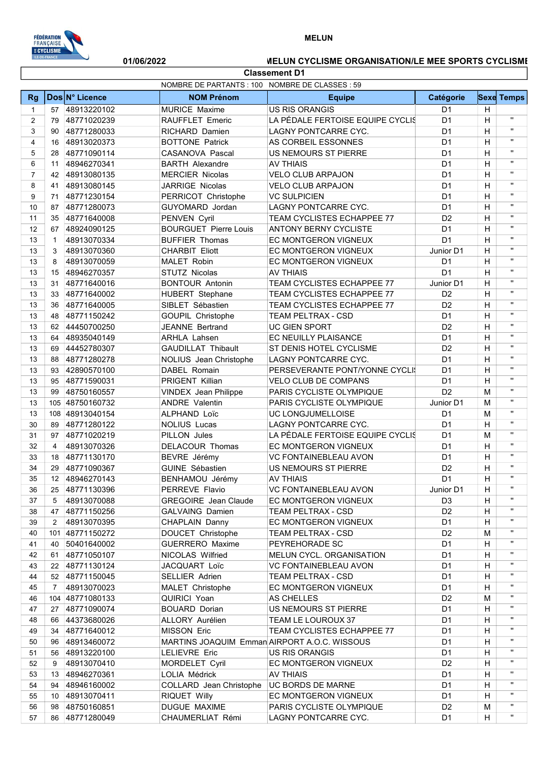

## MELUN

## Classement D1 01/06/2022 MELUN CYCLISME ORGANISATION/LE MEE SPORTS CYCLISME

|                | NOMBRE DE PARTANTS : 100 NOMBRE DE CLASSES : 59 |                 |                              |                                              |                |   |                    |
|----------------|-------------------------------------------------|-----------------|------------------------------|----------------------------------------------|----------------|---|--------------------|
| <b>Rg</b>      |                                                 | Dos N° Licence  | <b>NOM Prénom</b>            | <b>Equipe</b>                                | Catégorie      |   | <b>Sexe Temps</b>  |
| $\mathbf{1}$   | 57                                              | 48913220102     | <b>MURICE Maxime</b>         | <b>US RIS ORANGIS</b>                        | D <sub>1</sub> | H |                    |
| 2              | 79                                              | 48771020239     | RAUFFLET Emeric              | LA PÉDALE FERTOISE EQUIPE CYCLIS             | D <sub>1</sub> | H | $\mathbf{H}$       |
| 3              | 90                                              | 48771280033     | RICHARD Damien               | LAGNY PONTCARRE CYC.                         | D <sub>1</sub> | H | $\mathbf{H}$       |
| 4              | 16                                              | 48913020373     | <b>BOTTONE Patrick</b>       | AS CORBEIL ESSONNES                          | D <sub>1</sub> | H | $\mathbf{H}$       |
| 5              | 28                                              | 48771090114     | CASANOVA Pascal              | US NEMOURS ST PIERRE                         | D <sub>1</sub> | H | $\pmb{\mathsf{H}}$ |
| 6              | 11                                              | 48946270341     | <b>BARTH Alexandre</b>       | AV THIAIS                                    | D1             | H | $\mathbf{H}$       |
| $\overline{7}$ | 42                                              | 48913080135     | <b>MERCIER Nicolas</b>       | <b>VELO CLUB ARPAJON</b>                     | D <sub>1</sub> | H | $\mathbf{H}$       |
| 8              | 41                                              | 48913080145     | JARRIGE Nicolas              | <b>VELO CLUB ARPAJON</b>                     | D <sub>1</sub> | H | $\mathbf{H}$       |
| 9              | 71                                              | 48771230154     | PERRICOT Christophe          | <b>VC SULPICIEN</b>                          | D <sub>1</sub> | H | $\pmb{\mathsf{H}}$ |
| 10             | 87                                              | 48771280073     | GUYOMARD Jordan              | LAGNY PONTCARRE CYC.                         | D1             | H | $\pmb{\mathsf{H}}$ |
| 11             | 35                                              | 48771640008     | PENVEN Cyril                 | TEAM CYCLISTES ECHAPPEE 77                   | D <sub>2</sub> | H | $\pmb{\mathsf{H}}$ |
| 12             | 67                                              | 48924090125     | <b>BOURGUET Pierre Louis</b> | <b>ANTONY BERNY CYCLISTE</b>                 | D <sub>1</sub> | H | $\pmb{\mathsf{H}}$ |
| 13             | $\mathbf{1}$                                    | 48913070334     | <b>BUFFIER Thomas</b>        | EC MONTGERON VIGNEUX                         | D <sub>1</sub> | H | $\mathbf{H}$       |
| 13             | 3                                               | 48913070360     | <b>CHARBIT Eliott</b>        | EC MONTGERON VIGNEUX                         | Junior D1      | H | $\pmb{\mathsf{H}}$ |
| 13             | 8                                               | 48913070059     | MALET Robin                  | EC MONTGERON VIGNEUX                         | D <sub>1</sub> | H | $\pmb{\mathsf{H}}$ |
| 13             | 15                                              | 48946270357     | STUTZ Nicolas                | <b>AV THIAIS</b>                             | D <sub>1</sub> | H | $\mathbf{H}$       |
| 13             | 31                                              | 48771640016     | <b>BONTOUR Antonin</b>       | TEAM CYCLISTES ECHAPPEE 77                   | Junior D1      | H | $\pmb{\mathsf{H}}$ |
| 13             | 33                                              | 48771640002     | <b>HUBERT</b> Stephane       | TEAM CYCLISTES ECHAPPEE 77                   | D <sub>2</sub> | H | $\mathbf{H}$       |
| 13             | 36                                              | 48771640005     | SIBLET Sébastien             | TEAM CYCLISTES ECHAPPEE 77                   | D <sub>2</sub> | H | $\pmb{\mathsf{H}}$ |
| 13             | 48                                              | 48771150242     | GOUPIL Christophe            | <b>TEAM PELTRAX - CSD</b>                    | D <sub>1</sub> | H | $\pmb{\mathsf{H}}$ |
| 13             | 62                                              | 44450700250     | JEANNE Bertrand              | <b>UC GIEN SPORT</b>                         | D <sub>2</sub> | H | $\pmb{\mathsf{H}}$ |
| 13             | 64                                              | 48935040149     | <b>ARHLA Lahsen</b>          | EC NEUILLY PLAISANCE                         | D <sub>1</sub> | H | $\pmb{\mathsf{H}}$ |
| 13             | 69                                              | 44452780307     | <b>GAUDILLAT Thibault</b>    | ST DENIS HOTEL CYCLISME                      | D <sub>2</sub> | H | $\pmb{\mathsf{H}}$ |
| 13             | 88                                              | 48771280278     | NOLIUS Jean Christophe       | LAGNY PONTCARRE CYC.                         | D <sub>1</sub> | H | $\pmb{\mathsf{H}}$ |
| 13             | 93                                              | 42890570100     | DABEL Romain                 | PERSEVERANTE PONT/YONNE CYCLI!               | D <sub>1</sub> | H | $\mathbf{H}$       |
| 13             | 95                                              | 48771590031     | PRIGENT Killian              | VELO CLUB DE COMPANS                         | D <sub>1</sub> | H | $\mathbf{H}$       |
| 13             | 99                                              | 48750160557     | <b>VINDEX Jean Philippe</b>  | PARIS CYCLISTE OLYMPIQUE                     | D <sub>2</sub> | м | $\pmb{\mathsf{H}}$ |
| 13             |                                                 | 105 48750160732 | <b>ANDRE Valentin</b>        | PARIS CYCLISTE OLYMPIQUE                     | Junior D1      | м | $\pmb{\mathsf{H}}$ |
| 13             |                                                 | 108 48913040154 | ALPHAND Loïc                 | UC LONGJUMELLOISE                            | D1             | м | $\mathbf{H}$       |
| 30             | 89                                              | 48771280122     | <b>NOLIUS Lucas</b>          | LAGNY PONTCARRE CYC.                         | D <sub>1</sub> | H | $\pmb{\mathsf{H}}$ |
| 31             | 97                                              | 48771020219     | PILLON Jules                 | LA PÉDALE FERTOISE EQUIPE CYCLIS             | D <sub>1</sub> | м | $\mathbf{H}$       |
| 32             | 4                                               | 48913070326     | DELACOUR Thomas              | EC MONTGERON VIGNEUX                         | D1             | H | $\pmb{\mathsf{H}}$ |
| 33             | 18                                              | 48771130170     | BEVRE Jérémy                 | <b>VC FONTAINEBLEAU AVON</b>                 | D1             | H | $\mathbf{H}$       |
| 34             | 29                                              | 48771090367     | <b>GUINE Sébastien</b>       | US NEMOURS ST PIERRE                         | D <sub>2</sub> | H | $\mathbf{H}$       |
| 35             |                                                 | 12 48946270143  | BENHAMOU Jérémy              | <b>AV THIAIS</b>                             | D <sub>1</sub> | H | $\mathbf{H}$       |
| 36             | 25                                              | 48771130396     | PERREVE Flavio               | <b>VC FONTAINEBLEAU AVON</b>                 | Junior D1      | H | $\mathbf{H}$       |
| 37             | 5                                               | 48913070088     | <b>GREGOIRE</b> Jean Claude  | EC MONTGERON VIGNEUX                         | D <sub>3</sub> | H | $\mathbf{u}$       |
| 38             | 47                                              | 48771150256     | <b>GALVAING Damien</b>       | <b>TEAM PELTRAX - CSD</b>                    | D <sub>2</sub> | н | п.                 |
| 39             | 2                                               | 48913070395     | CHAPLAIN Danny               | EC MONTGERON VIGNEUX                         | D <sub>1</sub> | Н |                    |
| 40             | 101                                             | 48771150272     | DOUCET Christophe            | <b>TEAM PELTRAX - CSD</b>                    | D <sub>2</sub> | м |                    |
| 41             | 40                                              | 50401640002     | <b>GUERRERO</b> Maxime       | PEYREHORADE SC                               | D <sub>1</sub> | н | $\mathbf{H}$       |
| 42             | 61                                              | 48771050107     | NICOLAS Wilfried             | MELUN CYCL. ORGANISATION                     | D <sub>1</sub> | H | $\mathbf{u}$       |
| 43             | 22                                              | 48771130124     | JACQUART Loïc                | <b>VC FONTAINEBLEAU AVON</b>                 | D <sub>1</sub> | H |                    |
| 44             | 52                                              | 48771150045     | <b>SELLIER Adrien</b>        | TEAM PELTRAX - CSD                           | D <sub>1</sub> | H |                    |
| 45             | $\overline{7}$                                  | 48913070023     | MALET Christophe             | EC MONTGERON VIGNEUX                         | D <sub>1</sub> | н | $\mathbf{H}$       |
| 46             | 104                                             | 48771080133     | QUIRICI Yoan                 | <b>AS CHELLES</b>                            | D <sub>2</sub> | м | $\mathbf{H}$       |
| 47             | 27                                              | 48771090074     | <b>BOUARD Dorian</b>         | US NEMOURS ST PIERRE                         | D <sub>1</sub> | H |                    |
| 48             | 66                                              | 44373680026     | ALLORY Aurélien              | TEAM LE LOUROUX 37                           | D <sub>1</sub> | н |                    |
| 49             | 34                                              | 48771640012     | <b>MISSON Eric</b>           | TEAM CYCLISTES ECHAPPEE 77                   | D <sub>1</sub> | н | $\mathbf{H}$       |
| 50             | 96                                              | 48913460072     |                              | MARTINS JOAQUIM Emman AIRPORT A.O.C. WISSOUS | D <sub>1</sub> | Н | $\mathbf{H}$       |
| 51             | 56                                              | 48913220100     | <b>LELIEVRE Eric</b>         | <b>US RIS ORANGIS</b>                        | D <sub>1</sub> | н |                    |
| 52             | 9                                               | 48913070410     | MORDELET Cyril               | EC MONTGERON VIGNEUX                         | D <sub>2</sub> | H |                    |
| 53             | 13                                              | 48946270361     | LOLIA Médrick                | <b>AV THIAIS</b>                             | D <sub>1</sub> | H | $\mathbf{H}$       |
| 54             | 94                                              | 48946160002     | COLLARD Jean Christophe      | UC BORDS DE MARNE                            | D <sub>1</sub> | Н |                    |
| 55             | 10                                              | 48913070411     | RIQUET Willy                 | EC MONTGERON VIGNEUX                         | D <sub>1</sub> | н |                    |
| 56             | 98                                              | 48750160851     | DUGUE MAXIME                 | PARIS CYCLISTE OLYMPIQUE                     | D <sub>2</sub> | M | п.                 |
| 57             |                                                 | 86 48771280049  | CHAUMERLIAT Rémi             | LAGNY PONTCARRE CYC.                         | D <sub>1</sub> | H | п.                 |